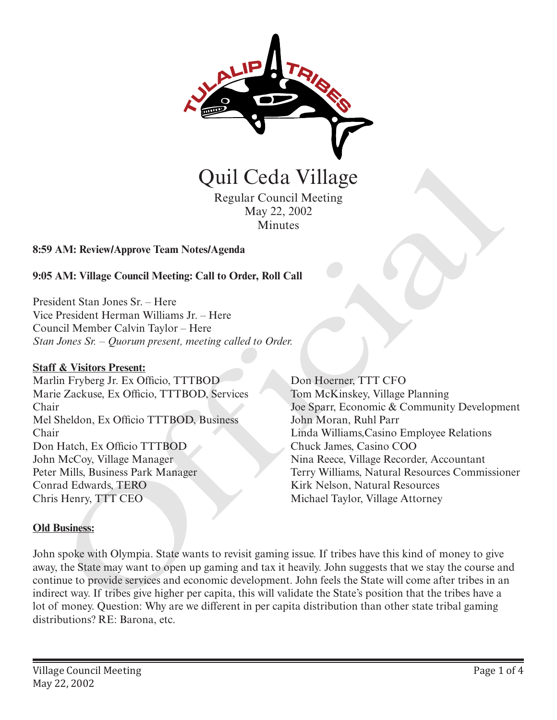

Regular Council Meeting May 22, 2002 **Minutes** 

## **8:59 AM: Review/Approve Team Notes/Agenda**

**9:05 AM: Village Council Meeting: Call to Order, Roll Call**

President Stan Jones Sr. – Here Vice President Herman Williams Jr. – Here Council Member Calvin Taylor – Here *Stan Jones Sr. – Quorum present, meeting called to Order.*

### **Staff & Visitors Present:**

Marlin Fryberg Jr. Ex Officio, TTTBOD Marie Zackuse, Ex Officio, TTTBOD, Services Chair Mel Sheldon, Ex Officio TTTBOD, Business Chair Don Hatch, Ex Officio TTTBOD John McCoy, Village Manager Peter Mills, Business Park Manager Conrad Edwards, TERO Chris Henry, TTT CEO

Don Hoerner, TTT CFO Tom McKinskey, Village Planning Joe Sparr, Economic & Community Development John Moran, Ruhl Parr Linda Williams,Casino Employee Relations Chuck James, Casino COO Nina Reece, Village Recorder, Accountant Terry Williams, Natural Resources Commissioner Kirk Nelson, Natural Resources Michael Taylor, Village Attorney

### **Old Business:**

John spoke with Olympia. State wants to revisit gaming issue. If tribes have this kind of money to give away, the State may want to open up gaming and tax it heavily. John suggests that we stay the course and continue to provide services and economic development. John feels the State will come after tribes in an indirect way. If tribes give higher per capita, this will validate the State's position that the tribes have a lot of money. Question: Why are we different in per capita distribution than other state tribal gaming distributions? RE: Barona, etc. **CHATACTER CONTROLL COMPTERS**<br>
May 22, 2002<br>
NAM: Review/Approve Team Notes/Agenda<br>
AM: Nillage Council Meeting: Call to Order, Roll Call<br>
dent Stan Jones Sr. – Here<br>
President Herman Williams Jr. – Here<br>
Dressident Herman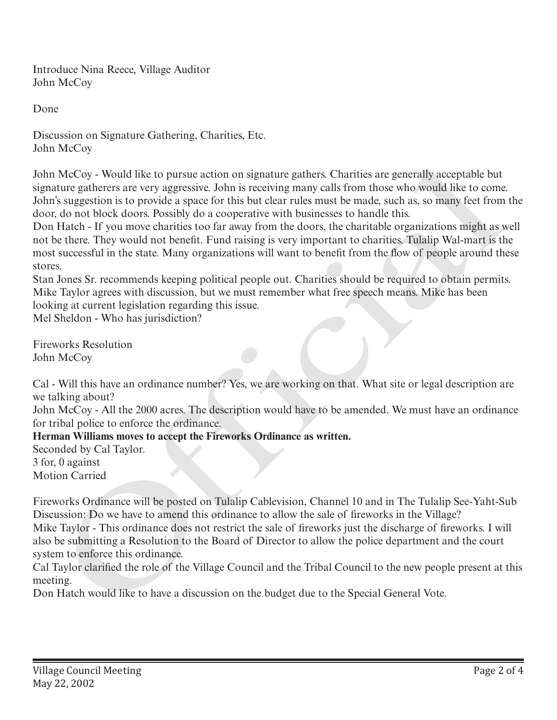Introduce Nina Reece, Village Auditor John McCoy

Done

Discussion on Signature Gathering, Charities, Etc. John McCoy

John McCoy - Would like to pursue action on signature gathers. Charities are generally acceptable but signature gatherers are very aggressive. John is receiving many calls from those who would like to come. John's suggestion is to provide a space for this but clear rules must be made, such as, so many feet from the door, do not block doors. Possibly do a cooperative with businesses to handle this.

Don Hatch - If you move charities too far away from the doors, the charitable organizations might as well not be there. They would not benefit. Fund raising is very important to charities. Tulalip Wal-mart is the most successful in the state. Many organizations will want to benefit from the flow of people around these stores.

Stan Jones Sr. recommends keeping political people out. Charities should be required to obtain permits. Mike Taylor agrees with discussion, but we must remember what free speech means. Mike has been looking at current legislation regarding this issue.

Mel Sheldon - Who has jurisdiction?

Fireworks Resolution John McCoy

Cal - Will this have an ordinance number? Yes, we are working on that. What site or legal description are we talking about?

John McCoy - All the 2000 acres. The description would have to be amended. We must have an ordinance for tribal police to enforce the ordinance.

# **Herman Williams moves to accept the Fireworks Ordinance as written.**

Seconded by Cal Taylor. 3 for, 0 against Motion Carried

Fireworks Ordinance will be posted on Tulalip Cablevision, Channel 10 and in The Tulalip See-Yaht-Sub Discussion: Do we have to amend this ordinance to allow the sale of fireworks in the Village? Mike Taylor - This ordinance does not restrict the sale of fireworks just the discharge of fireworks. I will also be submitting a Resolution to the Board of Director to allow the police department and the court system to enforce this ordinance. John McCoy - Would like to pursue action on signature gathers. Charities are generally acceptable but<br>signature gatheres are very aggressive. John is receiving many calls from those who, would like to come<br>John's suggestio

Cal Taylor clarified the role of the Village Council and the Tribal Council to the new people present at this meeting.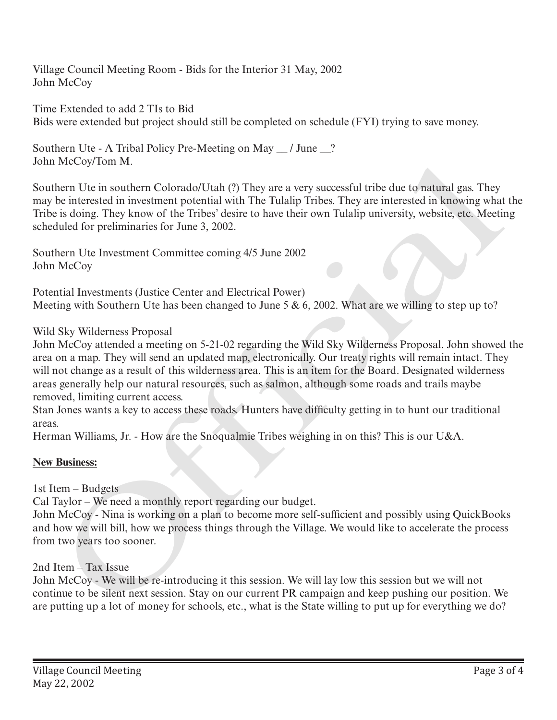Village Council Meeting Room - Bids for the Interior 31 May, 2002 John McCoy

Time Extended to add 2 TIs to Bid Bids were extended but project should still be completed on schedule (FYI) trying to save money.

Southern Ute - A Tribal Policy Pre-Meeting on May \_\_ / June \_\_? John McCoy/Tom M.

Southern Ute in southern Colorado/Utah (?) They are a very successful tribe due to natural gas. They may be interested in investment potential with The Tulalip Tribes. They are interested in knowing what the Tribe is doing. They know of the Tribes' desire to have their own Tulalip university, website, etc. Meeting scheduled for preliminaries for June 3, 2002.

Southern Ute Investment Committee coming 4/5 June 2002 John McCoy

Potential Investments (Justice Center and Electrical Power) Meeting with Southern Ute has been changed to June 5  $\&$  6, 2002. What are we willing to step up to?

## Wild Sky Wilderness Proposal

John McCoy attended a meeting on 5-21-02 regarding the Wild Sky Wilderness Proposal. John showed the area on a map. They will send an updated map, electronically. Our treaty rights will remain intact. They will not change as a result of this wilderness area. This is an item for the Board. Designated wilderness areas generally help our natural resources, such as salmon, although some roads and trails maybe removed, limiting current access. John McC.oy Hom Ma.<br>
Southern Ute in southern Colorado/Utah (2) They are a very successful tribe due to natural gas. They<br>
Southern Ute in southern (polential with The Tulalip Tribes. They are interested in knowing what<br>
T

Stan Jones wants a key to access these roads. Hunters have difficulty getting in to hunt our traditional areas.

Herman Williams, Jr. - How are the Snoqualmie Tribes weighing in on this? This is our U&A.

## **New Business:**

1st Item – Budgets

Cal Taylor – We need a monthly report regarding our budget.

John McCoy - Nina is working on a plan to become more self-sufficient and possibly using QuickBooks and how we will bill, how we process things through the Village. We would like to accelerate the process from two years too sooner.

# 2nd Item – Tax Issue

John McCoy - We will be re-introducing it this session. We will lay low this session but we will not continue to be silent next session. Stay on our current PR campaign and keep pushing our position. We